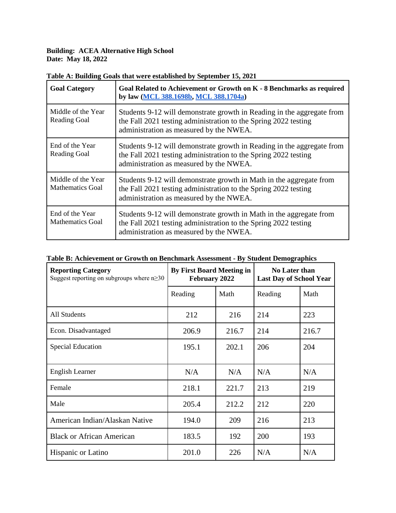**Building: ACEA Alternative High School Date: May 18, 2022**

| <b>Goal Category</b>                          | Goal Related to Achievement or Growth on K - 8 Benchmarks as required<br>by law (MCL 388.1698b, MCL 388.1704a)                                                                       |
|-----------------------------------------------|--------------------------------------------------------------------------------------------------------------------------------------------------------------------------------------|
| Middle of the Year<br><b>Reading Goal</b>     | Students 9-12 will demonstrate growth in Reading in the aggregate from<br>the Fall 2021 testing administration to the Spring 2022 testing<br>administration as measured by the NWEA. |
| End of the Year<br><b>Reading Goal</b>        | Students 9-12 will demonstrate growth in Reading in the aggregate from<br>the Fall 2021 testing administration to the Spring 2022 testing<br>administration as measured by the NWEA. |
| Middle of the Year<br><b>Mathematics Goal</b> | Students 9-12 will demonstrate growth in Math in the aggregate from<br>the Fall 2021 testing administration to the Spring 2022 testing<br>administration as measured by the NWEA.    |
| End of the Year<br><b>Mathematics Goal</b>    | Students 9-12 will demonstrate growth in Math in the aggregate from<br>the Fall 2021 testing administration to the Spring 2022 testing<br>administration as measured by the NWEA.    |

## **Table A: Building Goals that were established by September 15, 2021**

| <b>Reporting Category</b><br>Suggest reporting on subgroups where $n \geq 30$ | <b>By First Board Meeting in</b><br>February 2022 |       | No Later than<br><b>Last Day of School Year</b> |       |
|-------------------------------------------------------------------------------|---------------------------------------------------|-------|-------------------------------------------------|-------|
|                                                                               | Reading                                           | Math  | Reading                                         | Math  |
| <b>All Students</b>                                                           | 212                                               | 216   | 214                                             | 223   |
| Econ. Disadvantaged                                                           | 206.9                                             | 216.7 | 214                                             | 216.7 |
| <b>Special Education</b>                                                      | 195.1                                             | 202.1 | 206                                             | 204   |
| <b>English Learner</b>                                                        | N/A                                               | N/A   | N/A                                             | N/A   |
| Female                                                                        | 218.1                                             | 221.7 | 213                                             | 219   |
| Male                                                                          | 205.4                                             | 212.2 | 212                                             | 220   |
| American Indian/Alaskan Native                                                | 194.0                                             | 209   | 216                                             | 213   |
| <b>Black or African American</b>                                              | 183.5                                             | 192   | 200                                             | 193   |
| <b>Hispanic or Latino</b>                                                     | 201.0                                             | 226   | N/A                                             | N/A   |

## **Table B: Achievement or Growth on Benchmark Assessment - By Student Demographics**